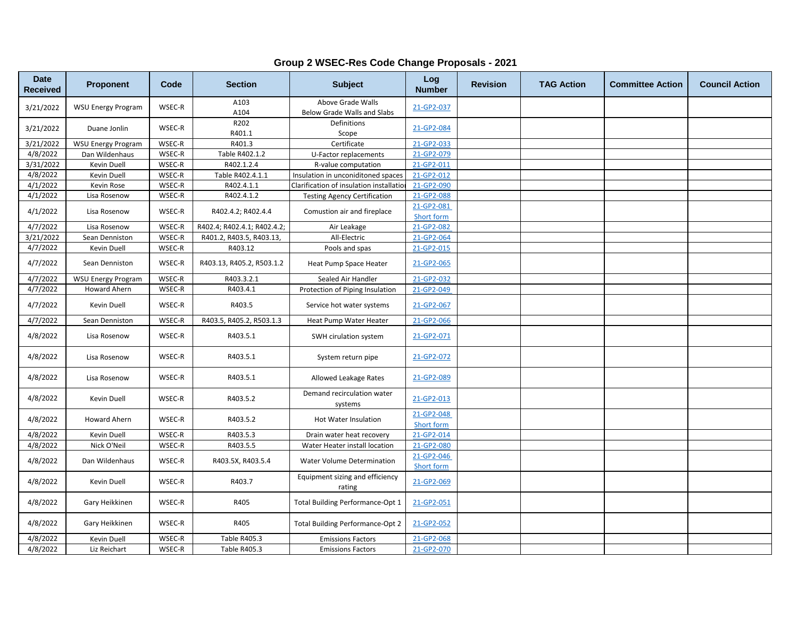| <b>Date</b><br><b>Received</b> | Proponent                 | Code   | <b>Section</b>              | <b>Subject</b>                                   | Log<br><b>Number</b>            | <b>Revision</b> | <b>TAG Action</b> | <b>Committee Action</b> | <b>Council Action</b> |
|--------------------------------|---------------------------|--------|-----------------------------|--------------------------------------------------|---------------------------------|-----------------|-------------------|-------------------------|-----------------------|
| 3/21/2022                      | <b>WSU Energy Program</b> | WSEC-R | A103<br>A104                | Above Grade Walls<br>Below Grade Walls and Slabs | 21-GP2-037                      |                 |                   |                         |                       |
| 3/21/2022                      | Duane Jonlin              | WSEC-R | R202<br>R401.1              | Definitions<br>Scope                             | 21-GP2-084                      |                 |                   |                         |                       |
| 3/21/2022                      | <b>WSU Energy Program</b> | WSEC-R | R401.3                      | Certificate                                      | 21-GP2-033                      |                 |                   |                         |                       |
| 4/8/2022                       | Dan Wildenhaus            | WSEC-R | Table R402.1.2              | U-Factor replacements                            | 21-GP2-079                      |                 |                   |                         |                       |
| 3/31/2022                      | Kevin Duell               | WSEC-R | R402.1.2.4                  | R-value computation                              | 21-GP2-011                      |                 |                   |                         |                       |
| 4/8/2022                       | Kevin Duell               | WSEC-R | Table R402.4.1.1            | Insulation in unconiditoned spaces               | 21-GP2-012                      |                 |                   |                         |                       |
| 4/1/2022                       | Kevin Rose                | WSEC-R | R402.4.1.1                  | Clarification of insulation installatio          | 21-GP2-090                      |                 |                   |                         |                       |
| 4/1/2022                       | Lisa Rosenow              | WSEC-R | R402.4.1.2                  | <b>Testing Agency Certification</b>              | 21-GP2-088                      |                 |                   |                         |                       |
| 4/1/2022                       | Lisa Rosenow              | WSEC-R | R402.4.2; R402.4.4          | Comustion air and fireplace                      | 21-GP2-081<br>Short form        |                 |                   |                         |                       |
| 4/7/2022                       | Lisa Rosenow              | WSEC-R | R402.4; R402.4.1; R402.4.2; | Air Leakage                                      | 21-GP2-082                      |                 |                   |                         |                       |
| 3/21/2022                      | Sean Denniston            | WSEC-R | R401.2, R403.5, R403.13,    | All-Electric                                     | 21-GP2-064                      |                 |                   |                         |                       |
| 4/7/2022                       | Kevin Duell               | WSEC-R | R403.12                     | Pools and spas                                   | 21-GP2-015                      |                 |                   |                         |                       |
| 4/7/2022                       | Sean Denniston            | WSEC-R | R403.13, R405.2, R503.1.2   | Heat Pump Space Heater                           | 21-GP2-065                      |                 |                   |                         |                       |
| 4/7/2022                       | <b>WSU Energy Program</b> | WSEC-R | R403.3.2.1                  | Sealed Air Handler                               | 21-GP2-032                      |                 |                   |                         |                       |
| 4/7/2022                       | Howard Ahern              | WSEC-R | R403.4.1                    | Protection of Piping Insulation                  | 21-GP2-049                      |                 |                   |                         |                       |
| 4/7/2022                       | Kevin Duell               | WSEC-R | R403.5                      | Service hot water systems                        | 21-GP2-067                      |                 |                   |                         |                       |
| 4/7/2022                       | Sean Denniston            | WSEC-R | R403.5, R405.2, R503.1.3    | Heat Pump Water Heater                           | 21-GP2-066                      |                 |                   |                         |                       |
| 4/8/2022                       | Lisa Rosenow              | WSEC-R | R403.5.1                    | SWH cirulation system                            | 21-GP2-071                      |                 |                   |                         |                       |
| 4/8/2022                       | Lisa Rosenow              | WSEC-R | R403.5.1                    | System return pipe                               | 21-GP2-072                      |                 |                   |                         |                       |
| 4/8/2022                       | Lisa Rosenow              | WSEC-R | R403.5.1                    | Allowed Leakage Rates                            | 21-GP2-089                      |                 |                   |                         |                       |
| 4/8/2022                       | Kevin Duell               | WSEC-R | R403.5.2                    | Demand recirculation water<br>systems            | 21-GP2-013                      |                 |                   |                         |                       |
| 4/8/2022                       | <b>Howard Ahern</b>       | WSEC-R | R403.5.2                    | Hot Water Insulation                             | 21-GP2-048<br>Short form        |                 |                   |                         |                       |
| 4/8/2022                       | Kevin Duell               | WSEC-R | R403.5.3                    | Drain water heat recovery                        | 21-GP2-014                      |                 |                   |                         |                       |
| 4/8/2022                       | Nick O'Neil               | WSEC-R | R403.5.5                    | Water Heater install location                    | 21-GP2-080                      |                 |                   |                         |                       |
| 4/8/2022                       | Dan Wildenhaus            | WSEC-R | R403.5X, R403.5.4           | Water Volume Determination                       | 21-GP2-046<br><b>Short form</b> |                 |                   |                         |                       |
| 4/8/2022                       | Kevin Duell               | WSEC-R | R403.7                      | Equipment sizing and efficiency<br>rating        | 21-GP2-069                      |                 |                   |                         |                       |
| 4/8/2022                       | Gary Heikkinen            | WSEC-R | R405                        | Total Building Performance-Opt 1                 | 21-GP2-051                      |                 |                   |                         |                       |
| 4/8/2022                       | Gary Heikkinen            | WSEC-R | R405                        | <b>Total Building Performance-Opt 2</b>          | 21-GP2-052                      |                 |                   |                         |                       |
| 4/8/2022                       | Kevin Duell               | WSEC-R | <b>Table R405.3</b>         | <b>Emissions Factors</b>                         | 21-GP2-068                      |                 |                   |                         |                       |
| 4/8/2022                       | Liz Reichart              | WSEC-R | Table R405.3                | <b>Emissions Factors</b>                         | 21-GP2-070                      |                 |                   |                         |                       |